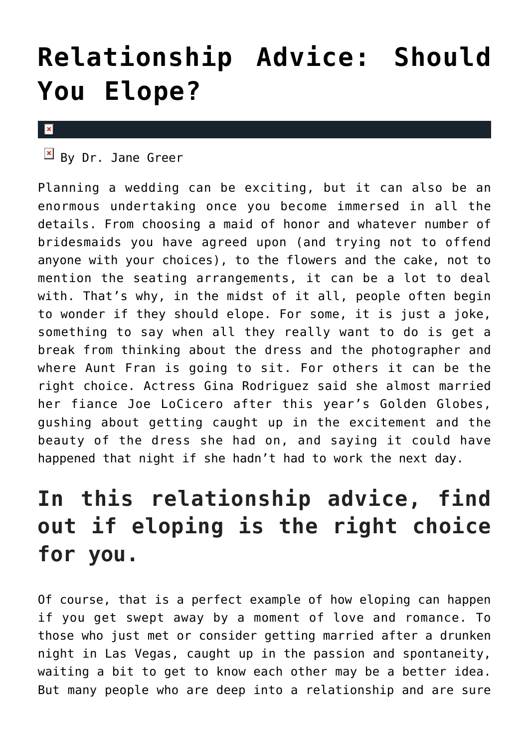## **[Relationship Advice: Should](https://cupidspulse.com/128495/relationship-advice-elope/) [You Elope?](https://cupidspulse.com/128495/relationship-advice-elope/)**

## $\mathbf x$

 $\mathbb{F}$  By Dr. Jane Greer

Planning a wedding can be exciting, but it can also be an enormous undertaking once you become immersed in all the details. From choosing a maid of honor and whatever number of bridesmaids you have agreed upon (and trying not to offend anyone with your choices), to the flowers and the cake, not to mention the seating arrangements, it can be a lot to deal with. That's why, in the midst of it all, people often begin to wonder if they should elope. For some, it is just a joke, something to say when all they really want to do is get a break from thinking about the dress and the photographer and where Aunt Fran is going to sit. For others it can be the right choice. Actress Gina Rodriguez said she almost married her fiance Joe LoCicero after this year's Golden Globes, gushing about getting caught up in the excitement and the beauty of the dress she had on, and saying it could have happened that night if she hadn't had to work the next day.

## **In this relationship advice, find out if eloping is the right choice for you.**

Of course, that is a perfect example of how eloping can happen if you get swept away by a moment of love and romance. To those who just met or consider getting married after a drunken night in Las Vegas, caught up in the passion and spontaneity, waiting a bit to get to know each other may be a better idea. But many people who are deep into a relationship and are sure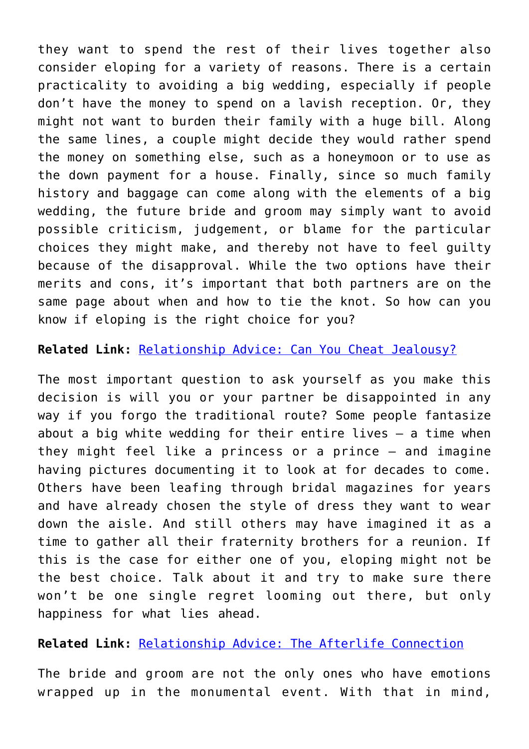they want to spend the rest of their lives together also consider eloping for a variety of reasons. There is a certain practicality to avoiding a big wedding, especially if people don't have the money to spend on a lavish reception. Or, they might not want to burden their family with a huge bill. Along the same lines, a couple might decide they would rather spend the money on something else, such as a honeymoon or to use as the down payment for a house. Finally, since so much family history and baggage can come along with the elements of a big wedding, the future bride and groom may simply want to avoid possible criticism, judgement, or blame for the particular choices they might make, and thereby not have to feel guilty because of the disapproval. While the two options have their merits and cons, it's important that both partners are on the same page about when and how to tie the knot. So how can you know if eloping is the right choice for you?

## **Related Link:** [Relationship Advice: Can You Cheat Jealousy?](http://cupidspulse.com/116711/relationship-advice-cheat-jealousy-dr-jane-greer/)

The most important question to ask yourself as you make this decision is will you or your partner be disappointed in any way if you forgo the traditional route? Some people fantasize about a big white wedding for their entire lives – a time when they might feel like a princess or a prince – and imagine having pictures documenting it to look at for decades to come. Others have been leafing through bridal magazines for years and have already chosen the style of dress they want to wear down the aisle. And still others may have imagined it as a time to gather all their fraternity brothers for a reunion. If this is the case for either one of you, eloping might not be the best choice. Talk about it and try to make sure there won't be one single regret looming out there, but only happiness for what lies ahead.

**Related Link:** [Relationship Advice: The Afterlife Connection](http://cupidspulse.com/127045/relationship-advice-afterlife-connection-dr-jane-greer/)

The bride and groom are not the only ones who have emotions wrapped up in the monumental event. With that in mind,